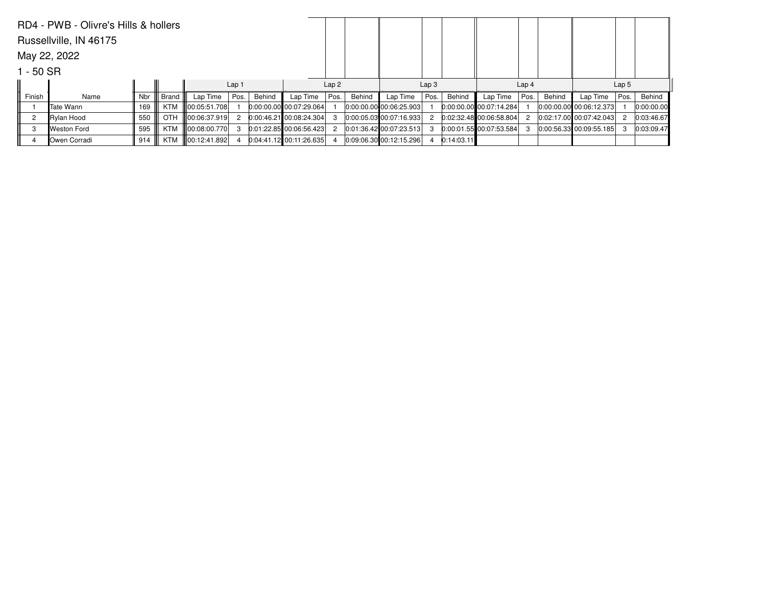|        | RD4 - PWB - Olivre's Hills & hollers |     |            |                   |                  |        |                           |      |        |                         |      |                  |                           |      |                  |                           |      |            |
|--------|--------------------------------------|-----|------------|-------------------|------------------|--------|---------------------------|------|--------|-------------------------|------|------------------|---------------------------|------|------------------|---------------------------|------|------------|
|        | Russellville, IN 46175               |     |            |                   |                  |        |                           |      |        |                         |      |                  |                           |      |                  |                           |      |            |
|        | May 22, 2022                         |     |            |                   |                  |        |                           |      |        |                         |      |                  |                           |      |                  |                           |      |            |
|        | 1 - 50 SR                            |     |            |                   |                  |        |                           |      |        |                         |      |                  |                           |      |                  |                           |      |            |
|        |                                      |     |            |                   | Lap <sub>1</sub> |        |                           | Lap2 |        | Lap <sub>3</sub>        |      | Lap <sub>4</sub> |                           |      | Lap <sub>5</sub> |                           |      |            |
| Finish | Name                                 | Nbr | Brand      | Lap Time          | Pos.             | Behind | Lap Time                  | Pos. | Behind | Lap Time                | Pos. | Behind           | Lap Time                  | Pos. | Behind           | Lap Time                  | Pos. | Behind     |
|        | lTate Wann                           | 169 |            | KTM 100:05:51.708 |                  |        | $0.00:00.00$ 00:07:29.064 |      |        | 0:00:00.00 00:06:25.903 |      |                  | $0.00.00.00$ 00:07:14.284 |      |                  | 0:00:00.00 00:06:12.373   |      | 0:00:00.00 |
|        | Rylan Hood                           | 550 | <b>OTH</b> | 00:06:37.919      | 2                |        | $0.00:46.21$ 00:08:24.304 |      |        | 0.00.05.03 00.07.16.933 |      |                  | 0:02:32.48 00:06:58.804   |      |                  | 0.02:17.00 00:07:42.043   |      | 0:03:46.67 |
| 3      | Weston Ford                          | 595 | KTM        | 100:08:00.770     | 3                |        | $0.01:22.85$ 00:06:56.423 |      |        | 0.01:36.42 00:07:23.513 | 3    |                  | $0.00.01.55$ 00:07:53.584 |      |                  | $0.00.56.33$ 00:09:55.185 |      | 0:03:09.47 |
|        | Owen Corradi                         | 914 | KTM        | 00:12:41.892      |                  |        | $0.04.41.12$ 00:11:26.635 |      |        | 0.09.06.30 00.12.15.296 |      | 0:14:03.11       |                           |      |                  |                           |      |            |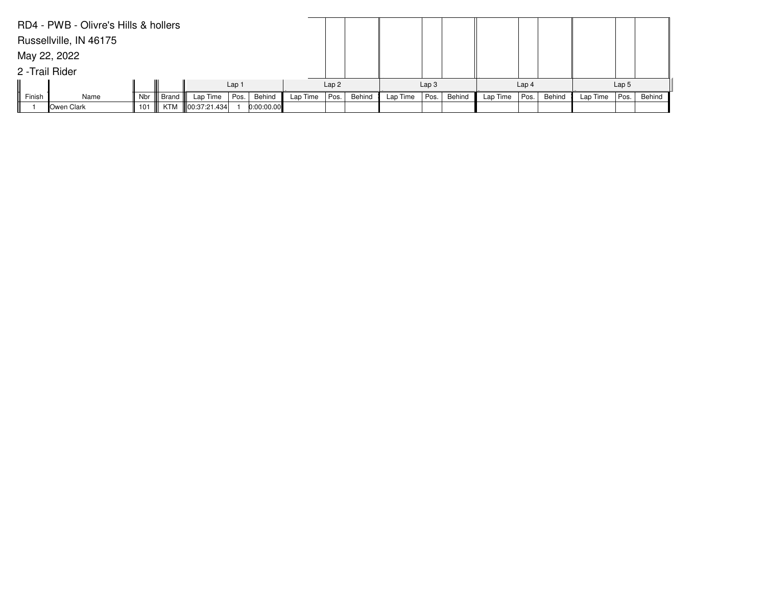|              | RD4 - PWB - Olivre's Hills & hollers |                  |       |                    |      |            |          |      |        |          |                  |        |          |                  |        |          |                  |        |
|--------------|--------------------------------------|------------------|-------|--------------------|------|------------|----------|------|--------|----------|------------------|--------|----------|------------------|--------|----------|------------------|--------|
|              | Russellville, IN 46175               |                  |       |                    |      |            |          |      |        |          |                  |        |          |                  |        |          |                  |        |
| May 22, 2022 |                                      |                  |       |                    |      |            |          |      |        |          |                  |        |          |                  |        |          |                  |        |
|              | 2 - Trail Rider                      |                  |       |                    |      |            |          |      |        |          |                  |        |          |                  |        |          |                  |        |
|              |                                      | Lap <sub>1</sub> |       |                    |      |            |          |      |        |          | Lap <sub>3</sub> |        |          | Lap <sub>4</sub> |        |          | Lap <sub>5</sub> |        |
| Finish       | Name                                 | Nbr              | Brand | Lap Time           | Pos. | Behind     | Lap Time | Pos. | Behind | Lap Time | Pos.             | Behind | Lap Time | Pos.             | Behind | Lap Time | Pos.             | Behind |
|              | Owen Clark                           | 101              |       | KTM   00:37:21.434 |      | 0:00:00.00 |          |      |        |          |                  |        |          |                  |        |          |                  |        |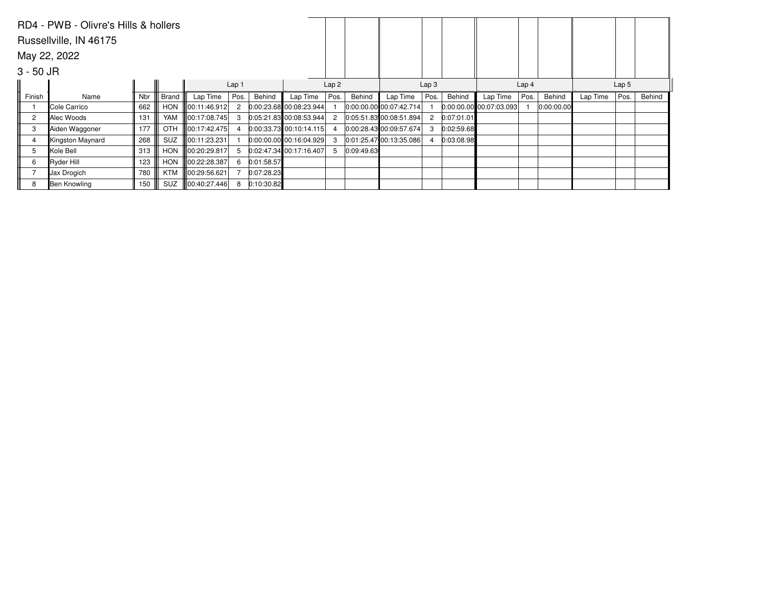|                | RD4 - PWB - Olivre's Hills & hollers |     |              |               |                  |            |                           |                |            |                         |      |            |                           |                  |            |                  |      |        |
|----------------|--------------------------------------|-----|--------------|---------------|------------------|------------|---------------------------|----------------|------------|-------------------------|------|------------|---------------------------|------------------|------------|------------------|------|--------|
|                | Russellville, IN 46175               |     |              |               |                  |            |                           |                |            |                         |      |            |                           |                  |            |                  |      |        |
|                | May 22, 2022                         |     |              |               |                  |            |                           |                |            |                         |      |            |                           |                  |            |                  |      |        |
| $3 - 50$ JR    |                                      |     |              |               |                  |            |                           |                |            |                         |      |            |                           |                  |            |                  |      |        |
|                |                                      |     |              |               | Lap <sub>1</sub> |            |                           | Lap2           |            | Lap <sub>3</sub>        |      |            |                           | Lap <sub>4</sub> |            | Lap <sub>5</sub> |      |        |
| Finish         | Name                                 | Nbr | <b>Brand</b> | Lap Time      | Pos.             | Behind     | Lap Time                  | Pos.           | Behind     | Lap Time                | Pos. | Behind     | Lap Time                  | Pos.             | Behind     | Lap Time         | Pos. | Behind |
|                | Cole Carrico                         | 662 | <b>HON</b>   | 00:11:46.912  | $\overline{2}$   |            | $0:00:23.68$ 00:08:23.944 |                |            | 0.00:00.00 00:07:42.714 |      |            | $0:00.00.00$ 00:07:03.093 |                  | 0.00:00.00 |                  |      |        |
| $\overline{c}$ | Alec Woods                           | 131 | YAM          | 100:17:08.745 | 3                |            | 0.05:21.83 00:08:53.944   | 2              |            | 0:05:51.83 00:08:51.894 | 2    | 0:07:01.01 |                           |                  |            |                  |      |        |
| 3              | Aiden Waggoner                       | 177 | <b>OTH</b>   | 00:17:42.475  |                  |            | $0:00:33.73$ 00:10:14.115 | $\overline{4}$ |            | 0.00:28.43 00:09:57.674 | 3    | 0:02:59.68 |                           |                  |            |                  |      |        |
|                | Kingston Maynard                     | 268 | <b>SUZ</b>   | 100:11:23.231 |                  |            | $0:00:00.00$ 00:16:04.929 | 3              |            | 0.01:25.47 00:13:35.086 |      | 0:03:08.98 |                           |                  |            |                  |      |        |
| 5              | Kole Bell                            | 313 | <b>HON</b>   | 00:20:29.817  | 5                |            | 0.02:47.34 00:17:16.407   | 5              | 0:09:49.63 |                         |      |            |                           |                  |            |                  |      |        |
| 6              | Ryder Hill                           | 123 | <b>HON</b>   | 00:22:28.387  | 6                | 0:01:58.57 |                           |                |            |                         |      |            |                           |                  |            |                  |      |        |
|                | Jax Drogich                          | 780 | KTM          | 00:29:56.621  |                  | 0:07:28.23 |                           |                |            |                         |      |            |                           |                  |            |                  |      |        |
| 8              | Ben Knowling                         | 150 | <b>SUZ</b>   | 00:40:27.446  | 8                | 0:10:30.82 |                           |                |            |                         |      |            |                           |                  |            |                  |      |        |